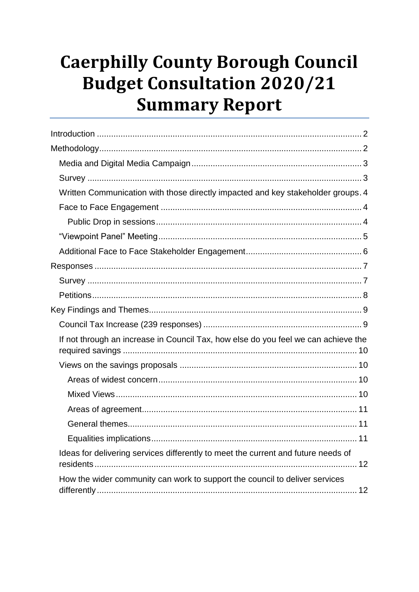# **Caerphilly County Borough Council Budget Consultation 2020/21 Summary Report**

| Written Communication with those directly impacted and key stakeholder groups. 4   |
|------------------------------------------------------------------------------------|
|                                                                                    |
|                                                                                    |
|                                                                                    |
|                                                                                    |
|                                                                                    |
|                                                                                    |
|                                                                                    |
|                                                                                    |
|                                                                                    |
| If not through an increase in Council Tax, how else do you feel we can achieve the |
|                                                                                    |
|                                                                                    |
|                                                                                    |
|                                                                                    |
|                                                                                    |
| . 11                                                                               |
| Ideas for delivering services differently to meet the current and future needs of  |
| How the wider community can work to support the council to deliver services        |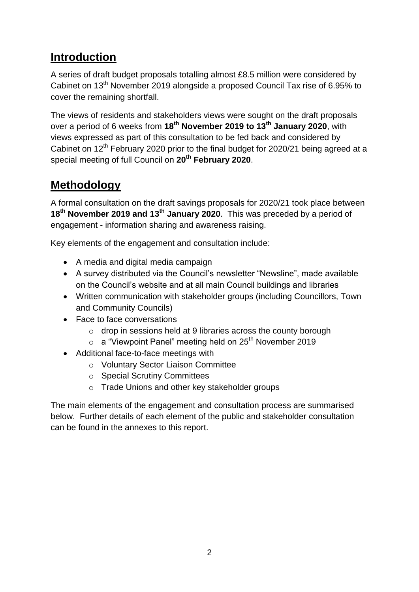# <span id="page-1-0"></span>**Introduction**

A series of draft budget proposals totalling almost £8.5 million were considered by Cabinet on 13<sup>th</sup> November 2019 alongside a proposed Council Tax rise of 6.95% to cover the remaining shortfall.

The views of residents and stakeholders views were sought on the draft proposals over a period of 6 weeks from **18 th November 2019 to 13 th January 2020**, with views expressed as part of this consultation to be fed back and considered by Cabinet on 12<sup>th</sup> February 2020 prior to the final budget for 2020/21 being agreed at a special meeting of full Council on **20th February 2020**.

# <span id="page-1-1"></span>**Methodology**

A formal consultation on the draft savings proposals for 2020/21 took place between **18 th November 2019 and 13 th January 2020**. This was preceded by a period of engagement - information sharing and awareness raising.

Key elements of the engagement and consultation include:

- A media and digital media campaign
- A survey distributed via the Council's newsletter "Newsline", made available on the Council's website and at all main Council buildings and libraries
- Written communication with stakeholder groups (including Councillors, Town and Community Councils)
- Face to face conversations
	- o drop in sessions held at 9 libraries across the county borough
	- $\circ$  a "Viewpoint Panel" meeting held on 25<sup>th</sup> November 2019
- Additional face-to-face meetings with
	- o Voluntary Sector Liaison Committee
	- o Special Scrutiny Committees
	- o Trade Unions and other key stakeholder groups

The main elements of the engagement and consultation process are summarised below. Further details of each element of the public and stakeholder consultation can be found in the annexes to this report.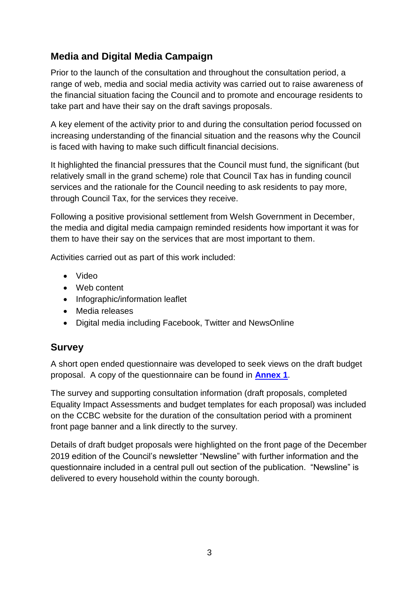# <span id="page-2-0"></span>**Media and Digital Media Campaign**

Prior to the launch of the consultation and throughout the consultation period, a range of web, media and social media activity was carried out to raise awareness of the financial situation facing the Council and to promote and encourage residents to take part and have their say on the draft savings proposals.

A key element of the activity prior to and during the consultation period focussed on increasing understanding of the financial situation and the reasons why the Council is faced with having to make such difficult financial decisions.

It highlighted the financial pressures that the Council must fund, the significant (but relatively small in the grand scheme) role that Council Tax has in funding council services and the rationale for the Council needing to ask residents to pay more, through Council Tax, for the services they receive.

Following a positive provisional settlement from Welsh Government in December, the media and digital media campaign reminded residents how important it was for them to have their say on the services that are most important to them.

Activities carried out as part of this work included:

- Video
- Web content
- Infographic/information leaflet
- Media releases
- Digital media including Facebook, Twitter and NewsOnline

# <span id="page-2-1"></span>**Survey**

A short open ended questionnaire was developed to seek views on the draft budget proposal. A copy of the questionnaire can be found in **[Annex 1](https://www.caerphilly.gov.uk/CaerphillyDocs/Consultations/BudgetConsultationSummaryReport2020-21-A1.aspx)**.

The survey and supporting consultation information (draft proposals, completed Equality Impact Assessments and budget templates for each proposal) was included on the CCBC website for the duration of the consultation period with a prominent front page banner and a link directly to the survey.

Details of draft budget proposals were highlighted on the front page of the December 2019 edition of the Council's newsletter "Newsline" with further information and the questionnaire included in a central pull out section of the publication. "Newsline" is delivered to every household within the county borough.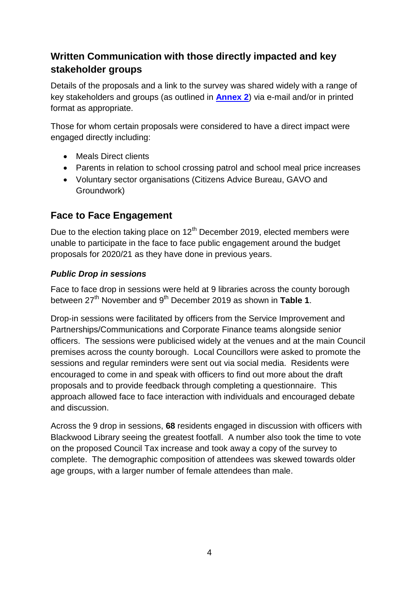# <span id="page-3-0"></span>**Written Communication with those directly impacted and key stakeholder groups**

Details of the proposals and a link to the survey was shared widely with a range of key stakeholders and groups (as outlined in **[Annex](https://www.caerphilly.gov.uk/CaerphillyDocs/Consultations/BudgetConsultationSummaryReport2020-21-A2.aspx) 2**) via e-mail and/or in printed format as appropriate.

Those for whom certain proposals were considered to have a direct impact were engaged directly including:

- Meals Direct clients
- Parents in relation to school crossing patrol and school meal price increases
- Voluntary sector organisations (Citizens Advice Bureau, GAVO and Groundwork)

# <span id="page-3-1"></span>**Face to Face Engagement**

Due to the election taking place on  $12<sup>th</sup>$  December 2019, elected members were unable to participate in the face to face public engagement around the budget proposals for 2020/21 as they have done in previous years.

#### <span id="page-3-2"></span>*Public Drop in sessions*

Face to face drop in sessions were held at 9 libraries across the county borough between 27<sup>th</sup> November and 9<sup>th</sup> December 2019 as shown in Table 1.

Drop-in sessions were facilitated by officers from the Service Improvement and Partnerships/Communications and Corporate Finance teams alongside senior officers. The sessions were publicised widely at the venues and at the main Council premises across the county borough. Local Councillors were asked to promote the sessions and regular reminders were sent out via social media. Residents were encouraged to come in and speak with officers to find out more about the draft proposals and to provide feedback through completing a questionnaire. This approach allowed face to face interaction with individuals and encouraged debate and discussion.

Across the 9 drop in sessions, **68** residents engaged in discussion with officers with Blackwood Library seeing the greatest footfall. A number also took the time to vote on the proposed Council Tax increase and took away a copy of the survey to complete. The demographic composition of attendees was skewed towards older age groups, with a larger number of female attendees than male.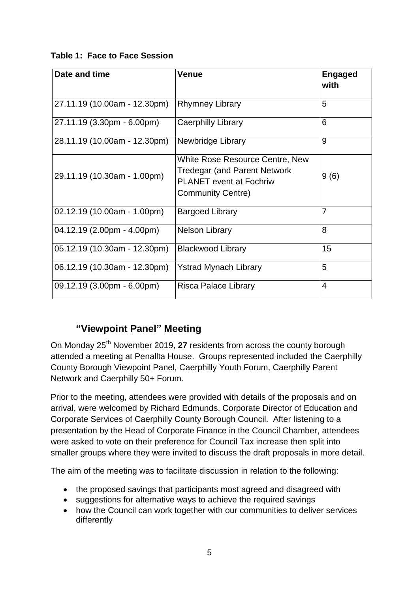#### **Table 1: Face to Face Session**

| Date and time                               | Venue                                                                                                                                | <b>Engaged</b><br>with |
|---------------------------------------------|--------------------------------------------------------------------------------------------------------------------------------------|------------------------|
| 27.11.19 (10.00am - 12.30pm)                | <b>Rhymney Library</b>                                                                                                               | 5                      |
| 27.11.19 (3.30pm - 6.00pm)                  | <b>Caerphilly Library</b>                                                                                                            | 6                      |
| 28.11.19 (10.00am - 12.30pm)                | Newbridge Library                                                                                                                    | 9                      |
| 29.11.19 (10.30am - 1.00pm)                 | White Rose Resource Centre, New<br><b>Tredegar (and Parent Network</b><br><b>PLANET</b> event at Fochriw<br><b>Community Centre)</b> | 9(6)                   |
| $02.12.19(10.00am - 1.00pm)$                | <b>Bargoed Library</b>                                                                                                               | $\overline{7}$         |
| $04.12.19(2.00pm - 4.00pm)$                 | <b>Nelson Library</b>                                                                                                                | 8                      |
| 05.12.19 (10.30am - 12.30pm)                | <b>Blackwood Library</b>                                                                                                             | 15                     |
| 06.12.19 (10.30am - 12.30pm)                | <b>Ystrad Mynach Library</b>                                                                                                         | 5                      |
| $09.12.19(3.00 \text{pm} - 6.00 \text{pm})$ | Risca Palace Library                                                                                                                 | 4                      |

# **"Viewpoint Panel" Meeting**

<span id="page-4-0"></span>On Monday 25<sup>th</sup> November 2019, 27 residents from across the county borough attended a meeting at Penallta House. Groups represented included the Caerphilly County Borough Viewpoint Panel, Caerphilly Youth Forum, Caerphilly Parent Network and Caerphilly 50+ Forum.

Prior to the meeting, attendees were provided with details of the proposals and on arrival, were welcomed by Richard Edmunds, Corporate Director of Education and Corporate Services of Caerphilly County Borough Council. After listening to a presentation by the Head of Corporate Finance in the Council Chamber, attendees were asked to vote on their preference for Council Tax increase then split into smaller groups where they were invited to discuss the draft proposals in more detail.

The aim of the meeting was to facilitate discussion in relation to the following:

- the proposed savings that participants most agreed and disagreed with
- suggestions for alternative ways to achieve the required savings
- how the Council can work together with our communities to deliver services differently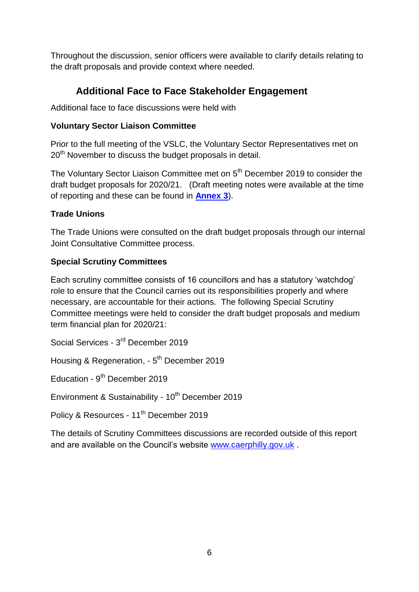Throughout the discussion, senior officers were available to clarify details relating to the draft proposals and provide context where needed.

# **Additional Face to Face Stakeholder Engagement**

<span id="page-5-0"></span>Additional face to face discussions were held with

#### **Voluntary Sector Liaison Committee**

Prior to the full meeting of the VSLC, the Voluntary Sector Representatives met on 20<sup>th</sup> November to discuss the budget proposals in detail.

The Voluntary Sector Liaison Committee met on 5<sup>th</sup> December 2019 to consider the draft budget proposals for 2020/21. (Draft meeting notes were available at the time of reporting and these can be found in **[Annex](https://www.caerphilly.gov.uk/CaerphillyDocs/Consultations/BudgetConsultationSummaryReport2020-21-A3.aspx) 3**).

# **Trade Unions**

The Trade Unions were consulted on the draft budget proposals through our internal Joint Consultative Committee process.

### **Special Scrutiny Committees**

Each scrutiny committee consists of 16 councillors and has a statutory 'watchdog' role to ensure that the Council carries out its responsibilities properly and where necessary, are accountable for their actions. The following Special Scrutiny Committee meetings were held to consider the draft budget proposals and medium term financial plan for 2020/21:

Social Services - 3<sup>rd</sup> December 2019

Housing & Regeneration, - 5<sup>th</sup> December 2019

Education - 9<sup>th</sup> December 2019

Environment & Sustainability - 10<sup>th</sup> December 2019

Policy & Resources - 11<sup>th</sup> December 2019

The details of Scrutiny Committees discussions are recorded outside of this report and are available on the Council's website [www.caerphilly.gov.uk](http://www.caerphilly.gov.uk/) .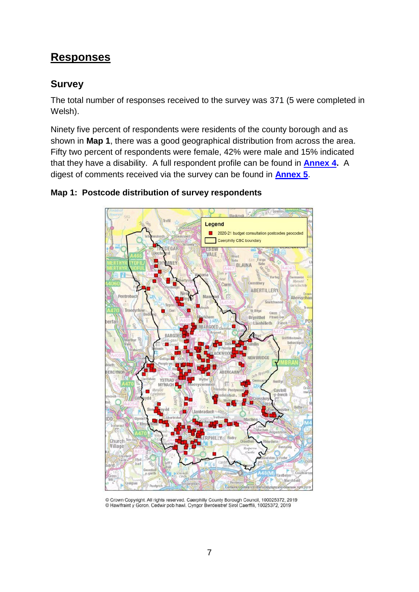# <span id="page-6-0"></span>**Responses**

# <span id="page-6-1"></span>**Survey**

The total number of responses received to the survey was 371 (5 were completed in Welsh).

Ninety five percent of respondents were residents of the county borough and as shown in **Map 1**, there was a good geographical distribution from across the area. Fifty two percent of respondents were female, 42% were male and 15% indicated that they have a disability. A full respondent profile can be found in **[Annex](https://www.caerphilly.gov.uk/CaerphillyDocs/Consultations/BudgetConsultationSummaryReport2020-21-A4.aspx) 4.** A digest of comments received via the survey can be found in **[Annex](https://www.caerphilly.gov.uk/CaerphillyDocs/Consultations/BudgetConsultationSummaryReport2020-21-A5.aspx) 5**.



#### **Map 1: Postcode distribution of survey respondents**

Crown Copyright. All rights reserved. Caerphilly County Borough Council, 100025372, 2019 C Hawlfraint y Goron. Cedwir pob hawl. Cyngor Bwrdeistref Sirol Caerffili, 10025372, 2019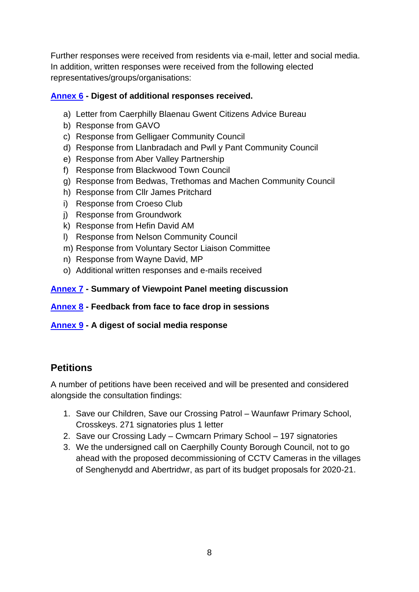Further responses were received from residents via e-mail, letter and social media. In addition, written responses were received from the following elected representatives/groups/organisations:

#### **[Annex 6](https://www.caerphilly.gov.uk/involved/Consultations/Budget-Consultation-2020-2021.aspx) - Digest of additional responses received.**

- a) Letter from Caerphilly Blaenau Gwent Citizens Advice Bureau
- b) Response from GAVO
- c) Response from Gelligaer Community Council
- d) Response from Llanbradach and Pwll y Pant Community Council
- e) Response from Aber Valley Partnership
- f) Response from Blackwood Town Council
- g) Response from Bedwas, Trethomas and Machen Community Council
- h) Response from Cllr James Pritchard
- i) Response from Croeso Club
- j) Response from Groundwork
- k) Response from Hefin David AM
- l) Response from Nelson Community Council
- m) Response from Voluntary Sector Liaison Committee
- n) Response from Wayne David, MP
- o) Additional written responses and e-mails received

#### **[Annex 7](https://www.caerphilly.gov.uk/CaerphillyDocs/Consultations/BudgetConsultationSummaryReport2020-21-A7.aspx) - Summary of Viewpoint Panel meeting discussion**

#### **[Annex 8](https://www.caerphilly.gov.uk/CaerphillyDocs/Consultations/BudgetConsultationSummaryReport2020-21-A8.aspx) - Feedback from face to face drop in sessions**

#### **[Annex 9](https://www.caerphilly.gov.uk/CaerphillyDocs/Consultations/BudgetConsultationSummaryReport2020-21-A9.aspx) - A digest of social media response**

# <span id="page-7-0"></span>**Petitions**

A number of petitions have been received and will be presented and considered alongside the consultation findings:

- 1. Save our Children, Save our Crossing Patrol Waunfawr Primary School, Crosskeys. 271 signatories plus 1 letter
- 2. Save our Crossing Lady Cwmcarn Primary School 197 signatories
- 3. We the undersigned call on Caerphilly County Borough Council, not to go ahead with the proposed decommissioning of CCTV Cameras in the villages of Senghenydd and Abertridwr, as part of its budget proposals for 2020-21.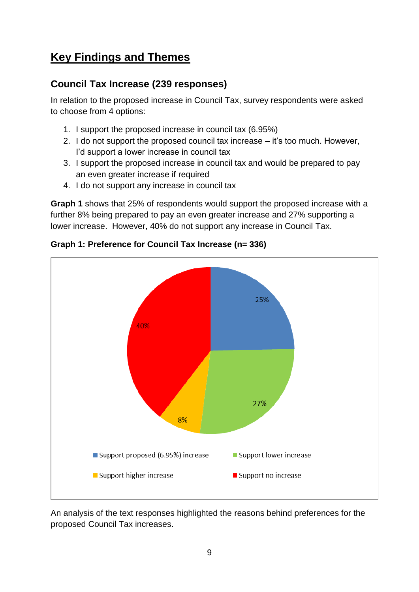# <span id="page-8-0"></span>**Key Findings and Themes**

# <span id="page-8-1"></span>**Council Tax Increase (239 responses)**

In relation to the proposed increase in Council Tax, survey respondents were asked to choose from 4 options:

- 1. I support the proposed increase in council tax (6.95%)
- 2. I do not support the proposed council tax increase it's too much. However, I'd support a lower increase in council tax
- 3. I support the proposed increase in council tax and would be prepared to pay an even greater increase if required
- 4. I do not support any increase in council tax

**Graph 1** shows that 25% of respondents would support the proposed increase with a further 8% being prepared to pay an even greater increase and 27% supporting a lower increase. However, 40% do not support any increase in Council Tax.



### **Graph 1: Preference for Council Tax Increase (n= 336)**

An analysis of the text responses highlighted the reasons behind preferences for the proposed Council Tax increases.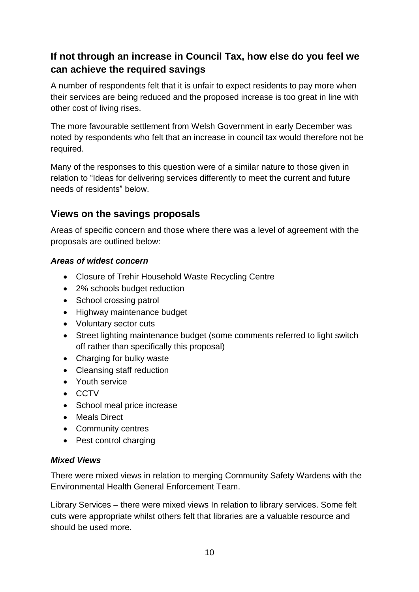# <span id="page-9-0"></span>**If not through an increase in Council Tax, how else do you feel we can achieve the required savings**

A number of respondents felt that it is unfair to expect residents to pay more when their services are being reduced and the proposed increase is too great in line with other cost of living rises.

The more favourable settlement from Welsh Government in early December was noted by respondents who felt that an increase in council tax would therefore not be required.

Many of the responses to this question were of a similar nature to those given in relation to "Ideas for delivering services differently to meet the current and future needs of residents" below.

# <span id="page-9-1"></span>**Views on the savings proposals**

Areas of specific concern and those where there was a level of agreement with the proposals are outlined below:

#### <span id="page-9-2"></span>*Areas of widest concern*

- Closure of Trehir Household Waste Recycling Centre
- 2% schools budget reduction
- School crossing patrol
- Highway maintenance budget
- Voluntary sector cuts
- Street lighting maintenance budget (some comments referred to light switch off rather than specifically this proposal)
- Charging for bulky waste
- Cleansing staff reduction
- Youth service
- CCTV
- School meal price increase
- Meals Direct
- Community centres
- Pest control charging

#### <span id="page-9-3"></span>*Mixed Views*

There were mixed views in relation to merging Community Safety Wardens with the Environmental Health General Enforcement Team.

Library Services – there were mixed views In relation to library services. Some felt cuts were appropriate whilst others felt that libraries are a valuable resource and should be used more.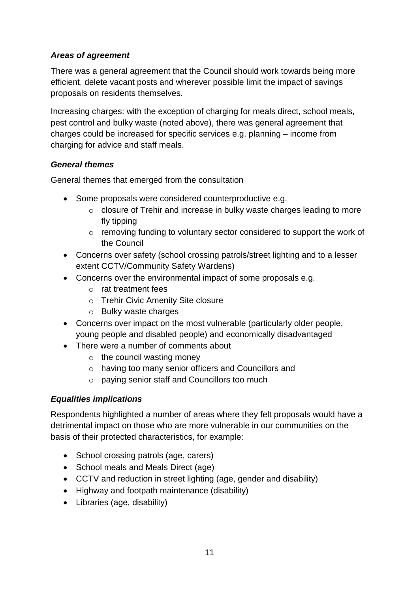#### <span id="page-10-0"></span>*Areas of agreement*

There was a general agreement that the Council should work towards being more efficient, delete vacant posts and wherever possible limit the impact of savings proposals on residents themselves.

Increasing charges: with the exception of charging for meals direct, school meals, pest control and bulky waste (noted above), there was general agreement that charges could be increased for specific services e.g. planning – income from charging for advice and staff meals.

#### <span id="page-10-1"></span>*General themes*

General themes that emerged from the consultation

- Some proposals were considered counterproductive e.g.
	- o closure of Trehir and increase in bulky waste charges leading to more fly tipping
	- o removing funding to voluntary sector considered to support the work of the Council
- Concerns over safety (school crossing patrols/street lighting and to a lesser extent CCTV/Community Safety Wardens)
- Concerns over the environmental impact of some proposals e.g.
	- o rat treatment fees
	- o Trehir Civic Amenity Site closure
	- o Bulky waste charges
- Concerns over impact on the most vulnerable (particularly older people, young people and disabled people) and economically disadvantaged
- There were a number of comments about
	- o the council wasting money
	- o having too many senior officers and Councillors and
	- o paying senior staff and Councillors too much

#### <span id="page-10-2"></span>*Equalities implications*

Respondents highlighted a number of areas where they felt proposals would have a detrimental impact on those who are more vulnerable in our communities on the basis of their protected characteristics, for example:

- School crossing patrols (age, carers)
- School meals and Meals Direct (age)
- CCTV and reduction in street lighting (age, gender and disability)
- Highway and footpath maintenance (disability)
- Libraries (age, disability)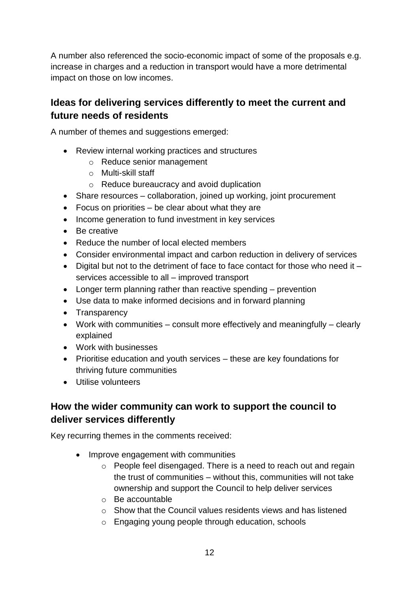A number also referenced the socio-economic impact of some of the proposals e.g. increase in charges and a reduction in transport would have a more detrimental impact on those on low incomes.

# <span id="page-11-0"></span>**Ideas for delivering services differently to meet the current and future needs of residents**

A number of themes and suggestions emerged:

- Review internal working practices and structures
	- o Reduce senior management
	- o Multi-skill staff
	- o Reduce bureaucracy and avoid duplication
- Share resources collaboration, joined up working, joint procurement
- Focus on priorities be clear about what they are
- Income generation to fund investment in key services
- Be creative
- Reduce the number of local elected members
- Consider environmental impact and carbon reduction in delivery of services
- Digital but not to the detriment of face to face contact for those who need it services accessible to all – improved transport
- Longer term planning rather than reactive spending prevention
- Use data to make informed decisions and in forward planning
- Transparency
- Work with communities consult more effectively and meaningfully clearly explained
- Work with businesses
- Prioritise education and youth services these are key foundations for thriving future communities
- Utilise volunteers

# <span id="page-11-1"></span>**How the wider community can work to support the council to deliver services differently**

Key recurring themes in the comments received:

- Improve engagement with communities
	- $\circ$  People feel disengaged. There is a need to reach out and regain the trust of communities – without this, communities will not take ownership and support the Council to help deliver services
	- o Be accountable
	- o Show that the Council values residents views and has listened
	- o Engaging young people through education, schools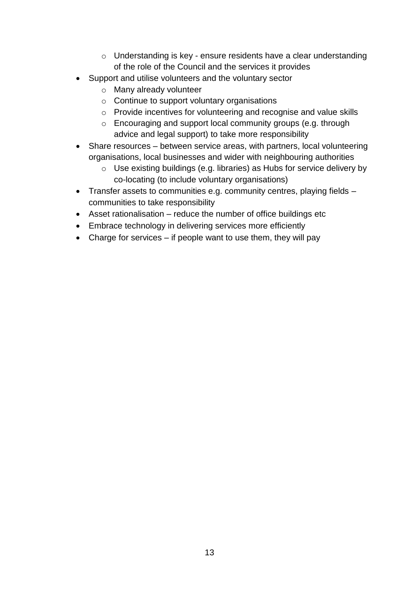- o Understanding is key ensure residents have a clear understanding of the role of the Council and the services it provides
- Support and utilise volunteers and the voluntary sector
	- o Many already volunteer
	- o Continue to support voluntary organisations
	- o Provide incentives for volunteering and recognise and value skills
	- o Encouraging and support local community groups (e.g. through advice and legal support) to take more responsibility
- Share resources between service areas, with partners, local volunteering organisations, local businesses and wider with neighbouring authorities
	- o Use existing buildings (e.g. libraries) as Hubs for service delivery by co-locating (to include voluntary organisations)
- Transfer assets to communities e.g. community centres, playing fields communities to take responsibility
- Asset rationalisation reduce the number of office buildings etc
- Embrace technology in delivering services more efficiently
- Charge for services if people want to use them, they will pay